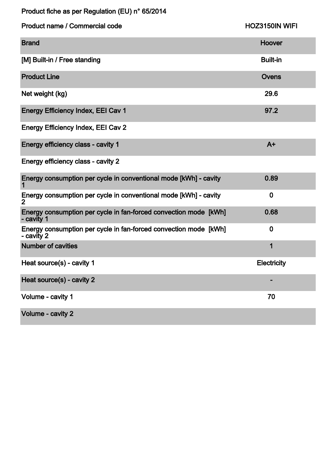Product fiche as per Regulation (EU) n° 65/2014

| <b>Product name / Commercial code</b>                                              | <b>HOZ3150IN WIFI</b> |
|------------------------------------------------------------------------------------|-----------------------|
| <b>Brand</b>                                                                       | <b>Hoover</b>         |
| [M] Built-in / Free standing                                                       | <b>Built-in</b>       |
| <b>Product Line</b>                                                                | Ovens                 |
| Net weight (kg)                                                                    | 29.6                  |
| <b>Energy Efficiency Index, EEI Cav 1</b>                                          | 97.2                  |
| <b>Energy Efficiency Index, EEI Cav 2</b>                                          |                       |
| Energy efficiency class - cavity 1                                                 | $A+$                  |
| Energy efficiency class - cavity 2                                                 |                       |
| Energy consumption per cycle in conventional mode [kWh] - cavity                   | 0.89                  |
| Energy consumption per cycle in conventional mode [kWh] - cavity<br>$\overline{2}$ | $\bf{0}$              |
| Energy consumption per cycle in fan-forced convection mode [kWh]<br>- cavity 1     | 0.68                  |
| Energy consumption per cycle in fan-forced convection mode [kWh]<br>- cavity 2     | $\bf{0}$              |
| <b>Number of cavities</b>                                                          | 1                     |
| Heat source(s) - cavity 1                                                          | <b>Electricity</b>    |
| Heat source(s) - cavity 2                                                          |                       |
| Volume - cavity 1                                                                  | 70                    |
| Volume - cavity 2                                                                  |                       |